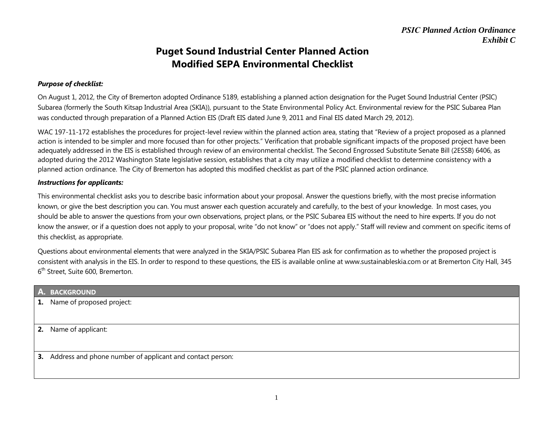## **Puget Sound Industrial Center Planned Action Modified SEPA Environmental Checklist**

#### *Purpose of checklist:*

On August 1, 2012, the City of Bremerton adopted Ordinance 5189, establishing a planned action designation for the Puget Sound Industrial Center (PSIC) Subarea (formerly the South Kitsap Industrial Area (SKIA)), pursuant to the State Environmental Policy Act. Environmental review for the PSIC Subarea Plan was conducted through preparation of a Planned Action EIS (Draft EIS dated June 9, 2011 and Final EIS dated March 29, 2012).

WAC 197-11-172 establishes the procedures for project-level review within the planned action area, stating that "Review of a project proposed as a planned action is intended to be simpler and more focused than for other projects." Verification that probable significant impacts of the proposed project have been adequately addressed in the EIS is established through review of an environmental checklist. The Second Engrossed Substitute Senate Bill (2ESSB) 6406, as adopted during the 2012 Washington State legislative session, establishes that a city may utilize a modified checklist to determine consistency with a planned action ordinance. The City of Bremerton has adopted this modified checklist as part of the PSIC planned action ordinance.

#### *Instructions for applicants:*

This environmental checklist asks you to describe basic information about your proposal. Answer the questions briefly, with the most precise information known, or give the best description you can. You must answer each question accurately and carefully, to the best of your knowledge. In most cases, you should be able to answer the questions from your own observations, project plans, or the PSIC Subarea EIS without the need to hire experts. If you do not know the answer, or if a question does not apply to your proposal, write "do not know" or "does not apply." Staff will review and comment on specific items of this checklist, as appropriate.

Questions about environmental elements that were analyzed in the SKIA/PSIC Subarea Plan EIS ask for confirmation as to whether the proposed project is consistent with analysis in the EIS. In order to respond to these questions, the EIS is available online at www.sustainableskia.com or at Bremerton City Hall, 345 6<sup>th</sup> Street, Suite 600, Bremerton.

| A. BACKGROUND                                                |
|--------------------------------------------------------------|
| <b>1.</b> Name of proposed project:                          |
|                                                              |
| 2. Name of applicant:                                        |
|                                                              |
| 3. Address and phone number of applicant and contact person: |
|                                                              |
|                                                              |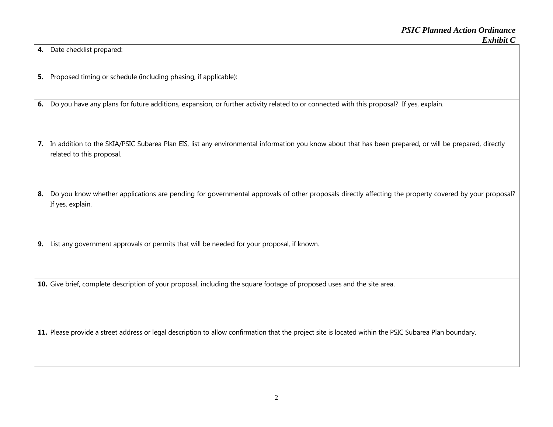**4.** Date checklist prepared:

**5.** Proposed timing or schedule (including phasing, if applicable):

**6.** Do you have any plans for future additions, expansion, or further activity related to or connected with this proposal? If yes, explain.

**7.** In addition to the SKIA/PSIC Subarea Plan EIS, list any environmental information you know about that has been prepared, or will be prepared, directly related to this proposal.

8. Do you know whether applications are pending for governmental approvals of other proposals directly affecting the property covered by your proposal? If yes, explain.

**9.** List any government approvals or permits that will be needed for your proposal, if known.

**10.** Give brief, complete description of your proposal, including the square footage of proposed uses and the site area.

**11.** Please provide a street address or legal description to allow confirmation that the project site is located within the PSIC Subarea Plan boundary.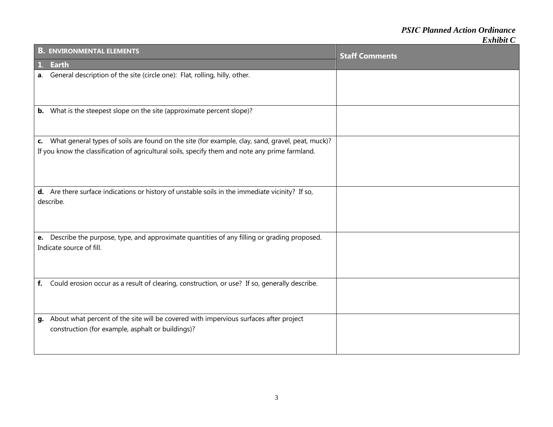# *PSIC Planned Action Ordinance*

| <b>B. ENVIRONMENTAL ELEMENTS</b>                                                                                                                                                                       | <b>Staff Comments</b> |
|--------------------------------------------------------------------------------------------------------------------------------------------------------------------------------------------------------|-----------------------|
| $\mathbf{1}$<br><b>Earth</b>                                                                                                                                                                           |                       |
| General description of the site (circle one): Flat, rolling, hilly, other.<br>а.                                                                                                                       |                       |
| <b>b.</b> What is the steepest slope on the site (approximate percent slope)?                                                                                                                          |                       |
| c. What general types of soils are found on the site (for example, clay, sand, gravel, peat, muck)?<br>If you know the classification of agricultural soils, specify them and note any prime farmland. |                       |
| d. Are there surface indications or history of unstable soils in the immediate vicinity? If so,<br>describe.                                                                                           |                       |
| e. Describe the purpose, type, and approximate quantities of any filling or grading proposed.<br>Indicate source of fill.                                                                              |                       |
| Could erosion occur as a result of clearing, construction, or use? If so, generally describe.<br>f.                                                                                                    |                       |
| About what percent of the site will be covered with impervious surfaces after project<br>g.<br>construction (for example, asphalt or buildings)?                                                       |                       |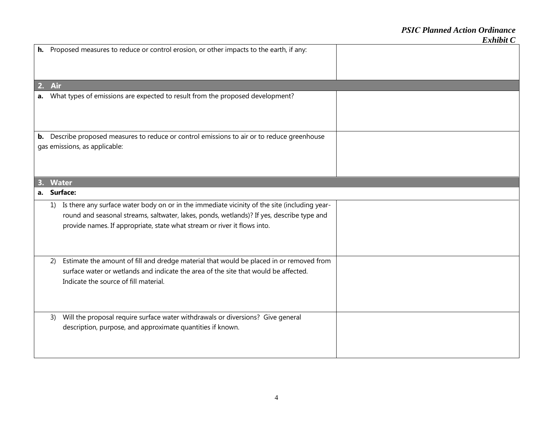|    | h. Proposed measures to reduce or control erosion, or other impacts to the earth, if any:                                                                                                                                                                                |  |
|----|--------------------------------------------------------------------------------------------------------------------------------------------------------------------------------------------------------------------------------------------------------------------------|--|
| 2. | Air                                                                                                                                                                                                                                                                      |  |
|    | a. What types of emissions are expected to result from the proposed development?                                                                                                                                                                                         |  |
| b. | Describe proposed measures to reduce or control emissions to air or to reduce greenhouse<br>gas emissions, as applicable:                                                                                                                                                |  |
|    | <b>Water</b>                                                                                                                                                                                                                                                             |  |
|    | a. Surface:                                                                                                                                                                                                                                                              |  |
|    | 1) Is there any surface water body on or in the immediate vicinity of the site (including year-<br>round and seasonal streams, saltwater, lakes, ponds, wetlands)? If yes, describe type and<br>provide names. If appropriate, state what stream or river it flows into. |  |
|    | Estimate the amount of fill and dredge material that would be placed in or removed from<br>2)<br>surface water or wetlands and indicate the area of the site that would be affected.<br>Indicate the source of fill material.                                            |  |
|    | Will the proposal require surface water withdrawals or diversions? Give general<br>3)<br>description, purpose, and approximate quantities if known.                                                                                                                      |  |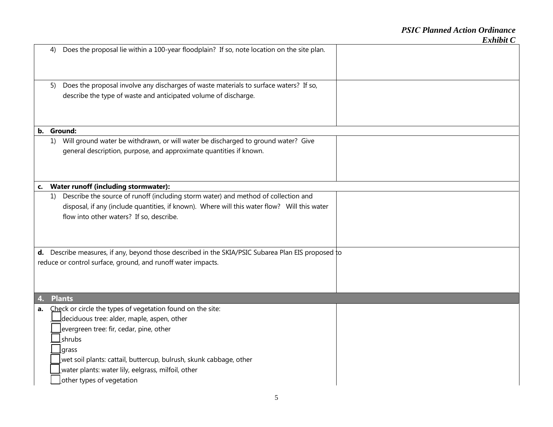|    | 4) | Does the proposal lie within a 100-year floodplain? If so, note location on the site plan.         |  |
|----|----|----------------------------------------------------------------------------------------------------|--|
|    | 5) | Does the proposal involve any discharges of waste materials to surface waters? If so,              |  |
|    |    | describe the type of waste and anticipated volume of discharge.                                    |  |
|    |    |                                                                                                    |  |
|    |    |                                                                                                    |  |
|    |    | b. Ground:                                                                                         |  |
|    | 1) | Will ground water be withdrawn, or will water be discharged to ground water? Give                  |  |
|    |    | general description, purpose, and approximate quantities if known.                                 |  |
|    |    |                                                                                                    |  |
|    |    |                                                                                                    |  |
|    |    |                                                                                                    |  |
| c. |    | Water runoff (including stormwater):                                                               |  |
|    | 1) | Describe the source of runoff (including storm water) and method of collection and                 |  |
|    |    | disposal, if any (include quantities, if known). Where will this water flow? Will this water       |  |
|    |    | flow into other waters? If so, describe.                                                           |  |
|    |    |                                                                                                    |  |
|    |    |                                                                                                    |  |
|    |    | d. Describe measures, if any, beyond those described in the SKIA/PSIC Subarea Plan EIS proposed to |  |
|    |    | reduce or control surface, ground, and runoff water impacts.                                       |  |
|    |    |                                                                                                    |  |
|    |    |                                                                                                    |  |
|    |    |                                                                                                    |  |
|    |    | <b>Plants</b>                                                                                      |  |
| a. |    | Check or circle the types of vegetation found on the site:                                         |  |
|    |    | $\Delta$ deciduous tree: alder, maple, aspen, other                                                |  |
|    |    | evergreen tree: fir, cedar, pine, other                                                            |  |
|    |    | shrubs                                                                                             |  |
|    |    | <b>grass</b>                                                                                       |  |
|    |    | wet soil plants: cattail, buttercup, bulrush, skunk cabbage, other                                 |  |
|    |    | water plants: water lily, eelgrass, milfoil, other                                                 |  |
|    |    | other types of vegetation                                                                          |  |
|    |    |                                                                                                    |  |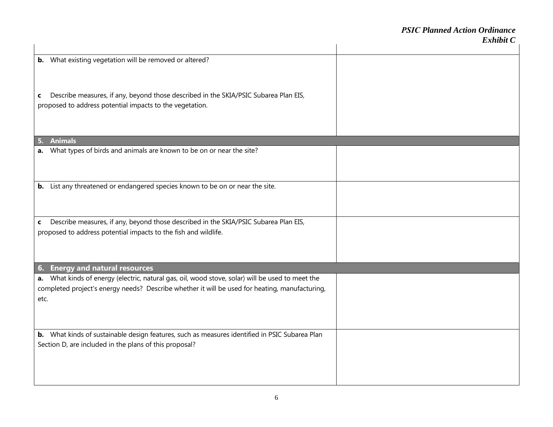|                                                                                                                                                                                                               | елной С |
|---------------------------------------------------------------------------------------------------------------------------------------------------------------------------------------------------------------|---------|
| <b>b.</b> What existing vegetation will be removed or altered?                                                                                                                                                |         |
| Describe measures, if any, beyond those described in the SKIA/PSIC Subarea Plan EIS,<br>C<br>proposed to address potential impacts to the vegetation.                                                         |         |
| <b>Animals</b>                                                                                                                                                                                                |         |
| What types of birds and animals are known to be on or near the site?<br>a.                                                                                                                                    |         |
| b. List any threatened or endangered species known to be on or near the site.                                                                                                                                 |         |
| Describe measures, if any, beyond those described in the SKIA/PSIC Subarea Plan EIS,<br>C                                                                                                                     |         |
| proposed to address potential impacts to the fish and wildlife.                                                                                                                                               |         |
| <b>Energy and natural resources</b><br>6.                                                                                                                                                                     |         |
| What kinds of energy (electric, natural gas, oil, wood stove, solar) will be used to meet the<br>а.<br>completed project's energy needs? Describe whether it will be used for heating, manufacturing,<br>etc. |         |
| b. What kinds of sustainable design features, such as measures identified in PSIC Subarea Plan<br>Section D, are included in the plans of this proposal?                                                      |         |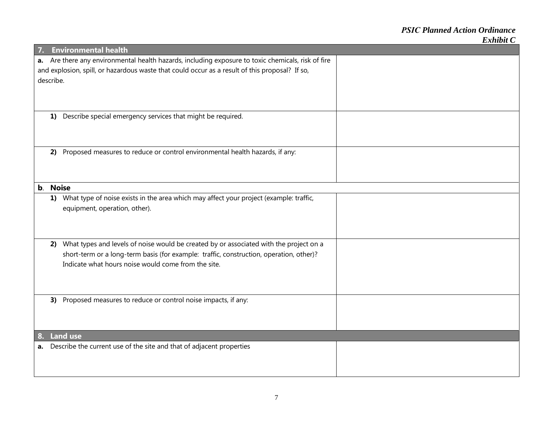| 7. |           | <b>Environmental health</b>                                                                                                                    |  |
|----|-----------|------------------------------------------------------------------------------------------------------------------------------------------------|--|
|    |           | a. Are there any environmental health hazards, including exposure to toxic chemicals, risk of fire                                             |  |
|    |           | and explosion, spill, or hazardous waste that could occur as a result of this proposal? If so,                                                 |  |
|    | describe. |                                                                                                                                                |  |
|    |           |                                                                                                                                                |  |
|    |           |                                                                                                                                                |  |
|    | 1)        | Describe special emergency services that might be required.                                                                                    |  |
|    |           |                                                                                                                                                |  |
|    |           |                                                                                                                                                |  |
|    |           |                                                                                                                                                |  |
|    | 2)        | Proposed measures to reduce or control environmental health hazards, if any:                                                                   |  |
|    |           |                                                                                                                                                |  |
|    |           |                                                                                                                                                |  |
| b. |           | <b>Noise</b>                                                                                                                                   |  |
|    |           | 1) What type of noise exists in the area which may affect your project (example: traffic,                                                      |  |
|    |           | equipment, operation, other).                                                                                                                  |  |
|    |           |                                                                                                                                                |  |
|    |           |                                                                                                                                                |  |
|    |           |                                                                                                                                                |  |
|    |           | 2) What types and levels of noise would be created by or associated with the project on a                                                      |  |
|    |           | short-term or a long-term basis (for example: traffic, construction, operation, other)?<br>Indicate what hours noise would come from the site. |  |
|    |           |                                                                                                                                                |  |
|    |           |                                                                                                                                                |  |
|    |           |                                                                                                                                                |  |
|    |           | 3) Proposed measures to reduce or control noise impacts, if any:                                                                               |  |
|    |           |                                                                                                                                                |  |
|    |           |                                                                                                                                                |  |
| 8. |           | <b>Land use</b>                                                                                                                                |  |
|    |           | a. Describe the current use of the site and that of adjacent properties                                                                        |  |
|    |           |                                                                                                                                                |  |
|    |           |                                                                                                                                                |  |
|    |           |                                                                                                                                                |  |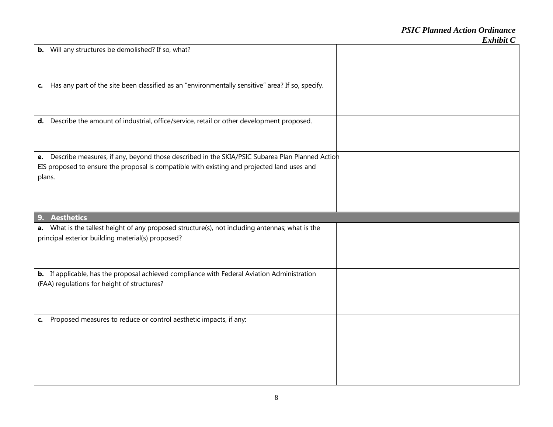| <b>b.</b> Will any structures be demolished? If so, what?                                           |  |
|-----------------------------------------------------------------------------------------------------|--|
| c. Has any part of the site been classified as an "environmentally sensitive" area? If so, specify. |  |
| d. Describe the amount of industrial, office/service, retail or other development proposed.         |  |
| e. Describe measures, if any, beyond those described in the SKIA/PSIC Subarea Plan Planned Action   |  |
|                                                                                                     |  |
| EIS proposed to ensure the proposal is compatible with existing and projected land uses and         |  |
| plans.                                                                                              |  |
|                                                                                                     |  |
|                                                                                                     |  |
|                                                                                                     |  |
|                                                                                                     |  |
|                                                                                                     |  |
| <b>Aesthetics</b><br>9.                                                                             |  |
|                                                                                                     |  |
| a. What is the tallest height of any proposed structure(s), not including antennas; what is the     |  |
| principal exterior building material(s) proposed?                                                   |  |
|                                                                                                     |  |
|                                                                                                     |  |
|                                                                                                     |  |
|                                                                                                     |  |
| b. If applicable, has the proposal achieved compliance with Federal Aviation Administration         |  |
| (FAA) regulations for height of structures?                                                         |  |
|                                                                                                     |  |
|                                                                                                     |  |
|                                                                                                     |  |
|                                                                                                     |  |
| c. Proposed measures to reduce or control aesthetic impacts, if any:                                |  |
|                                                                                                     |  |
|                                                                                                     |  |
|                                                                                                     |  |
|                                                                                                     |  |
|                                                                                                     |  |
|                                                                                                     |  |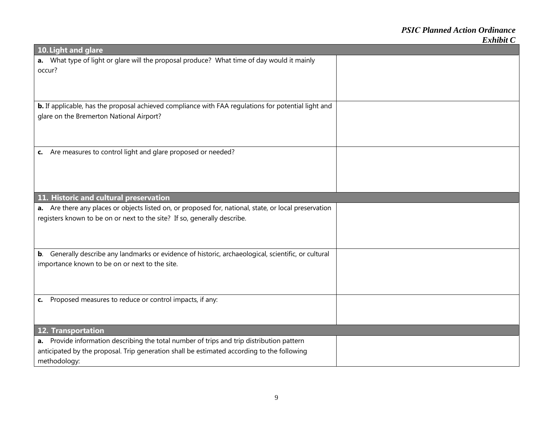| 10. Light and glare                                                                                   |  |
|-------------------------------------------------------------------------------------------------------|--|
| a. What type of light or glare will the proposal produce? What time of day would it mainly            |  |
| occur?                                                                                                |  |
|                                                                                                       |  |
|                                                                                                       |  |
| b. If applicable, has the proposal achieved compliance with FAA regulations for potential light and   |  |
| glare on the Bremerton National Airport?                                                              |  |
|                                                                                                       |  |
|                                                                                                       |  |
|                                                                                                       |  |
| c. Are measures to control light and glare proposed or needed?                                        |  |
|                                                                                                       |  |
|                                                                                                       |  |
|                                                                                                       |  |
| 11. Historic and cultural preservation                                                                |  |
| a. Are there any places or objects listed on, or proposed for, national, state, or local preservation |  |
| registers known to be on or next to the site? If so, generally describe.                              |  |
|                                                                                                       |  |
|                                                                                                       |  |
|                                                                                                       |  |
| b. Generally describe any landmarks or evidence of historic, archaeological, scientific, or cultural  |  |
| importance known to be on or next to the site.                                                        |  |
|                                                                                                       |  |
|                                                                                                       |  |
| c. Proposed measures to reduce or control impacts, if any:                                            |  |
|                                                                                                       |  |
|                                                                                                       |  |
| 12. Transportation                                                                                    |  |
| a. Provide information describing the total number of trips and trip distribution pattern             |  |
| anticipated by the proposal. Trip generation shall be estimated according to the following            |  |
| methodology:                                                                                          |  |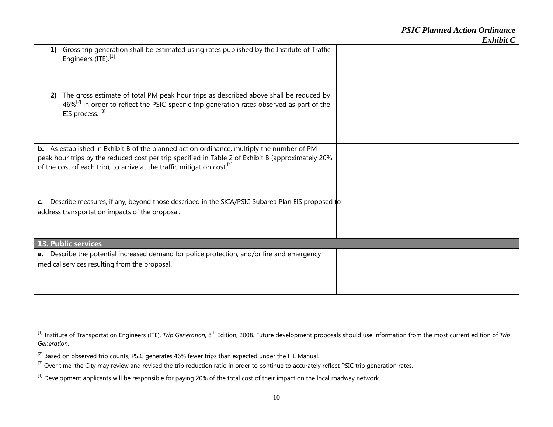| 1) | Gross trip generation shall be estimated using rates published by the Institute of Traffic<br>Engineers (ITE). <sup>[1]</sup>                                                                                                                                                                |  |
|----|----------------------------------------------------------------------------------------------------------------------------------------------------------------------------------------------------------------------------------------------------------------------------------------------|--|
| 2) | The gross estimate of total PM peak hour trips as described above shall be reduced by<br>$46\%^{[2]}$ in order to reflect the PSIC-specific trip generation rates observed as part of the<br>EIS process. [3]                                                                                |  |
|    | <b>b.</b> As established in Exhibit B of the planned action ordinance, multiply the number of PM<br>peak hour trips by the reduced cost per trip specified in Table 2 of Exhibit B (approximately 20%<br>of the cost of each trip), to arrive at the traffic mitigation cost. <sup>[4]</sup> |  |
| C. | Describe measures, if any, beyond those described in the SKIA/PSIC Subarea Plan EIS proposed to<br>address transportation impacts of the proposal.                                                                                                                                           |  |
|    | <b>13. Public services</b>                                                                                                                                                                                                                                                                   |  |
|    | a. Describe the potential increased demand for police protection, and/or fire and emergency<br>medical services resulting from the proposal.                                                                                                                                                 |  |

<sup>&</sup>lt;sup>[1]</sup> Institute of Transportation Engineers (ITE), *Trip Generation*, 8<sup>th</sup> Edition, 2008. Future development proposals should use information from the most current edition of *Trip Generation*.

<sup>&</sup>lt;sup>[2]</sup> Based on observed trip counts, PSIC generates 46% fewer trips than expected under the ITE Manual.

<sup>&</sup>lt;sup>[3]</sup> Over time, the City may review and revised the trip reduction ratio in order to continue to accurately reflect PSIC trip generation rates.

<sup>&</sup>lt;sup>[4]</sup> Development applicants will be responsible for paying 20% of the total cost of their impact on the local roadway network.